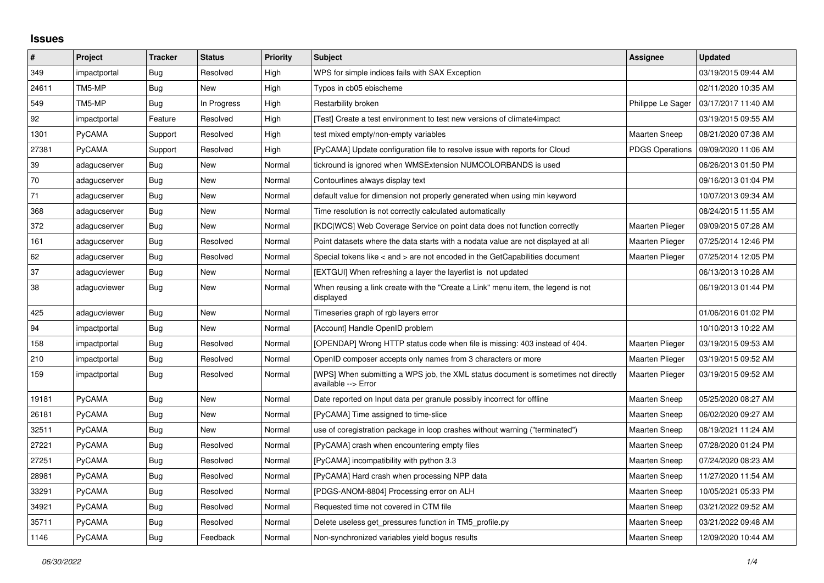## **Issues**

| #     | Project      | <b>Tracker</b> | <b>Status</b> | <b>Priority</b> | <b>Subject</b>                                                                                            | Assignee               | <b>Updated</b>      |
|-------|--------------|----------------|---------------|-----------------|-----------------------------------------------------------------------------------------------------------|------------------------|---------------------|
| 349   | impactportal | Bug            | Resolved      | High            | WPS for simple indices fails with SAX Exception                                                           |                        | 03/19/2015 09:44 AM |
| 24611 | TM5-MP       | Bug            | <b>New</b>    | High            | Typos in cb05 ebischeme                                                                                   |                        | 02/11/2020 10:35 AM |
| 549   | TM5-MP       | Bug            | In Progress   | High            | Restarbility broken                                                                                       | Philippe Le Sager      | 03/17/2017 11:40 AM |
| 92    | impactportal | Feature        | Resolved      | High            | [Test] Create a test environment to test new versions of climate4impact                                   |                        | 03/19/2015 09:55 AM |
| 1301  | PyCAMA       | Support        | Resolved      | High            | test mixed empty/non-empty variables                                                                      | <b>Maarten Sneep</b>   | 08/21/2020 07:38 AM |
| 27381 | PyCAMA       | Support        | Resolved      | High            | [PyCAMA] Update configuration file to resolve issue with reports for Cloud                                | <b>PDGS Operations</b> | 09/09/2020 11:06 AM |
| 39    | adagucserver | Bug            | New           | Normal          | tickround is ignored when WMSExtension NUMCOLORBANDS is used                                              |                        | 06/26/2013 01:50 PM |
| 70    | adagucserver | Bug            | <b>New</b>    | Normal          | Contourlines always display text                                                                          |                        | 09/16/2013 01:04 PM |
| 71    | adagucserver | Bug            | <b>New</b>    | Normal          | default value for dimension not properly generated when using min keyword                                 |                        | 10/07/2013 09:34 AM |
| 368   | adagucserver | <b>Bug</b>     | <b>New</b>    | Normal          | Time resolution is not correctly calculated automatically                                                 |                        | 08/24/2015 11:55 AM |
| 372   | adagucserver | Bug            | <b>New</b>    | Normal          | [KDC WCS] Web Coverage Service on point data does not function correctly                                  | Maarten Plieger        | 09/09/2015 07:28 AM |
| 161   | adagucserver | Bug            | Resolved      | Normal          | Point datasets where the data starts with a nodata value are not displayed at all                         | <b>Maarten Plieger</b> | 07/25/2014 12:46 PM |
| 62    | adagucserver | <b>Bug</b>     | Resolved      | Normal          | Special tokens like < and > are not encoded in the GetCapabilities document                               | <b>Maarten Plieger</b> | 07/25/2014 12:05 PM |
| 37    | adagucviewer | <b>Bug</b>     | <b>New</b>    | Normal          | [EXTGUI] When refreshing a layer the layerlist is not updated                                             |                        | 06/13/2013 10:28 AM |
| 38    | adagucviewer | Bug            | New           | Normal          | When reusing a link create with the "Create a Link" menu item, the legend is not<br>displayed             |                        | 06/19/2013 01:44 PM |
| 425   | adagucviewer | Bug            | <b>New</b>    | Normal          | Timeseries graph of rgb layers error                                                                      |                        | 01/06/2016 01:02 PM |
| 94    | impactportal | Bug            | <b>New</b>    | Normal          | [Account] Handle OpenID problem                                                                           |                        | 10/10/2013 10:22 AM |
| 158   | impactportal | Bug            | Resolved      | Normal          | [OPENDAP] Wrong HTTP status code when file is missing: 403 instead of 404.                                | <b>Maarten Plieger</b> | 03/19/2015 09:53 AM |
| 210   | impactportal | Bug            | Resolved      | Normal          | OpenID composer accepts only names from 3 characters or more                                              | Maarten Plieger        | 03/19/2015 09:52 AM |
| 159   | impactportal | Bug            | Resolved      | Normal          | [WPS] When submitting a WPS job, the XML status document is sometimes not directly<br>available --> Error | <b>Maarten Plieger</b> | 03/19/2015 09:52 AM |
| 19181 | PyCAMA       | Bug            | <b>New</b>    | Normal          | Date reported on Input data per granule possibly incorrect for offline                                    | <b>Maarten Sneep</b>   | 05/25/2020 08:27 AM |
| 26181 | PyCAMA       | Bug            | New           | Normal          | [PyCAMA] Time assigned to time-slice                                                                      | <b>Maarten Sneep</b>   | 06/02/2020 09:27 AM |
| 32511 | PyCAMA       | <b>Bug</b>     | <b>New</b>    | Normal          | use of coregistration package in loop crashes without warning ("terminated")                              | <b>Maarten Sneep</b>   | 08/19/2021 11:24 AM |
| 27221 | PyCAMA       | Bug            | Resolved      | Normal          | [PyCAMA] crash when encountering empty files                                                              | <b>Maarten Sneep</b>   | 07/28/2020 01:24 PM |
| 27251 | PyCAMA       | <b>Bug</b>     | Resolved      | Normal          | [PyCAMA] incompatibility with python 3.3                                                                  | <b>Maarten Sneep</b>   | 07/24/2020 08:23 AM |
| 28981 | PyCAMA       | <b>Bug</b>     | Resolved      | Normal          | [PyCAMA] Hard crash when processing NPP data                                                              | <b>Maarten Sneep</b>   | 11/27/2020 11:54 AM |
| 33291 | PyCAMA       | Bug            | Resolved      | Normal          | [PDGS-ANOM-8804] Processing error on ALH                                                                  | <b>Maarten Sneep</b>   | 10/05/2021 05:33 PM |
| 34921 | PyCAMA       | Bug            | Resolved      | Normal          | Requested time not covered in CTM file                                                                    | <b>Maarten Sneep</b>   | 03/21/2022 09:52 AM |
| 35711 | PyCAMA       | <b>Bug</b>     | Resolved      | Normal          | Delete useless get_pressures function in TM5_profile.py                                                   | <b>Maarten Sneep</b>   | 03/21/2022 09:48 AM |
| 1146  | PyCAMA       | Bug            | Feedback      | Normal          | Non-synchronized variables yield bogus results                                                            | <b>Maarten Sneep</b>   | 12/09/2020 10:44 AM |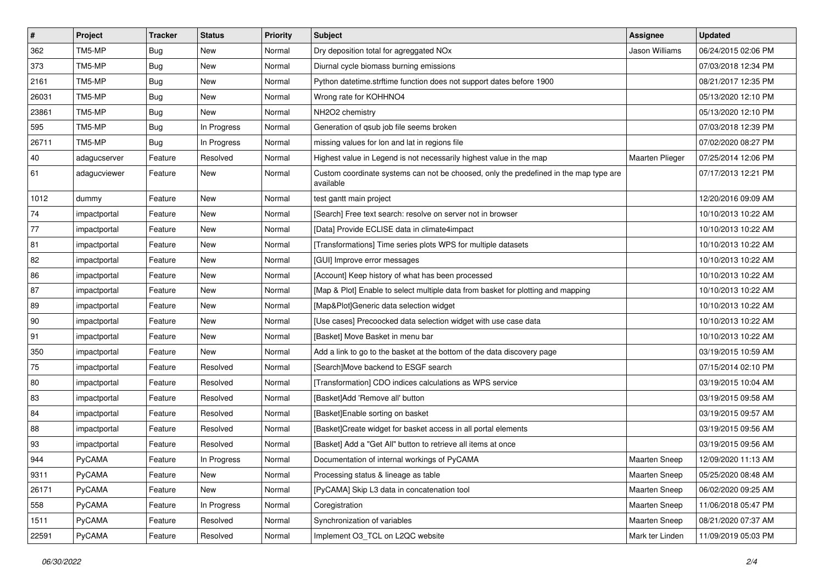| $\vert$ #    | Project      | <b>Tracker</b> | <b>Status</b> | <b>Priority</b> | <b>Subject</b>                                                                                     | Assignee             | <b>Updated</b>      |
|--------------|--------------|----------------|---------------|-----------------|----------------------------------------------------------------------------------------------------|----------------------|---------------------|
| 362          | TM5-MP       | <b>Bug</b>     | New           | Normal          | Dry deposition total for agreggated NOx                                                            | Jason Williams       | 06/24/2015 02:06 PM |
| 373          | TM5-MP       | <b>Bug</b>     | <b>New</b>    | Normal          | Diurnal cycle biomass burning emissions                                                            |                      | 07/03/2018 12:34 PM |
| 2161         | TM5-MP       | <b>Bug</b>     | New           | Normal          | Python datetime.strftime function does not support dates before 1900                               |                      | 08/21/2017 12:35 PM |
| 26031        | TM5-MP       | <b>Bug</b>     | New           | Normal          | Wrong rate for KOHHNO4                                                                             |                      | 05/13/2020 12:10 PM |
| 23861        | TM5-MP       | <b>Bug</b>     | <b>New</b>    | Normal          | NH2O2 chemistry                                                                                    |                      | 05/13/2020 12:10 PM |
| 595          | TM5-MP       | <b>Bug</b>     | In Progress   | Normal          | Generation of qsub job file seems broken                                                           |                      | 07/03/2018 12:39 PM |
| 26711        | TM5-MP       | <b>Bug</b>     | In Progress   | Normal          | missing values for lon and lat in regions file                                                     |                      | 07/02/2020 08:27 PM |
| $ 40\rangle$ | adagucserver | Feature        | Resolved      | Normal          | Highest value in Legend is not necessarily highest value in the map                                | Maarten Plieger      | 07/25/2014 12:06 PM |
| 61           | adagucviewer | Feature        | New           | Normal          | Custom coordinate systems can not be choosed, only the predefined in the map type are<br>available |                      | 07/17/2013 12:21 PM |
| 1012         | dummy        | Feature        | New           | Normal          | test gantt main project                                                                            |                      | 12/20/2016 09:09 AM |
| 74           | impactportal | Feature        | New           | Normal          | [Search] Free text search: resolve on server not in browser                                        |                      | 10/10/2013 10:22 AM |
| 77           | impactportal | Feature        | New           | Normal          | [Data] Provide ECLISE data in climate4impact                                                       |                      | 10/10/2013 10:22 AM |
| 81           | impactportal | Feature        | New           | Normal          | [Transformations] Time series plots WPS for multiple datasets                                      |                      | 10/10/2013 10:22 AM |
| 82           | impactportal | Feature        | <b>New</b>    | Normal          | [GUI] Improve error messages                                                                       |                      | 10/10/2013 10:22 AM |
| 86           | impactportal | Feature        | New           | Normal          | [Account] Keep history of what has been processed                                                  |                      | 10/10/2013 10:22 AM |
| 87           | impactportal | Feature        | New           | Normal          | [Map & Plot] Enable to select multiple data from basket for plotting and mapping                   |                      | 10/10/2013 10:22 AM |
| 89           | impactportal | Feature        | <b>New</b>    | Normal          | [Map&Plot]Generic data selection widget                                                            |                      | 10/10/2013 10:22 AM |
| 90           | impactportal | Feature        | New           | Normal          | [Use cases] Precoocked data selection widget with use case data                                    |                      | 10/10/2013 10:22 AM |
| 91           | impactportal | Feature        | New           | Normal          | [Basket] Move Basket in menu bar                                                                   |                      | 10/10/2013 10:22 AM |
| 350          | impactportal | Feature        | New           | Normal          | Add a link to go to the basket at the bottom of the data discovery page                            |                      | 03/19/2015 10:59 AM |
| 75           | impactportal | Feature        | Resolved      | Normal          | [Search]Move backend to ESGF search                                                                |                      | 07/15/2014 02:10 PM |
| 80           | impactportal | Feature        | Resolved      | Normal          | [Transformation] CDO indices calculations as WPS service                                           |                      | 03/19/2015 10:04 AM |
| 83           | impactportal | Feature        | Resolved      | Normal          | [Basket]Add 'Remove all' button                                                                    |                      | 03/19/2015 09:58 AM |
| 84           | impactportal | Feature        | Resolved      | Normal          | [Basket]Enable sorting on basket                                                                   |                      | 03/19/2015 09:57 AM |
| 88           | impactportal | Feature        | Resolved      | Normal          | [Basket]Create widget for basket access in all portal elements                                     |                      | 03/19/2015 09:56 AM |
| 93           | impactportal | Feature        | Resolved      | Normal          | [Basket] Add a "Get All" button to retrieve all items at once                                      |                      | 03/19/2015 09:56 AM |
| 944          | PyCAMA       | Feature        | In Progress   | Normal          | Documentation of internal workings of PyCAMA                                                       | <b>Maarten Sneep</b> | 12/09/2020 11:13 AM |
| 9311         | PyCAMA       | Feature        | New           | Normal          | Processing status & lineage as table                                                               | Maarten Sneep        | 05/25/2020 08:48 AM |
| 26171        | PyCAMA       | Feature        | New           | Normal          | [PyCAMA] Skip L3 data in concatenation tool                                                        | Maarten Sneep        | 06/02/2020 09:25 AM |
| 558          | PyCAMA       | Feature        | In Progress   | Normal          | Coregistration                                                                                     | Maarten Sneep        | 11/06/2018 05:47 PM |
| 1511         | PyCAMA       | Feature        | Resolved      | Normal          | Synchronization of variables                                                                       | Maarten Sneep        | 08/21/2020 07:37 AM |
| 22591        | PyCAMA       | Feature        | Resolved      | Normal          | Implement O3_TCL on L2QC website                                                                   | Mark ter Linden      | 11/09/2019 05:03 PM |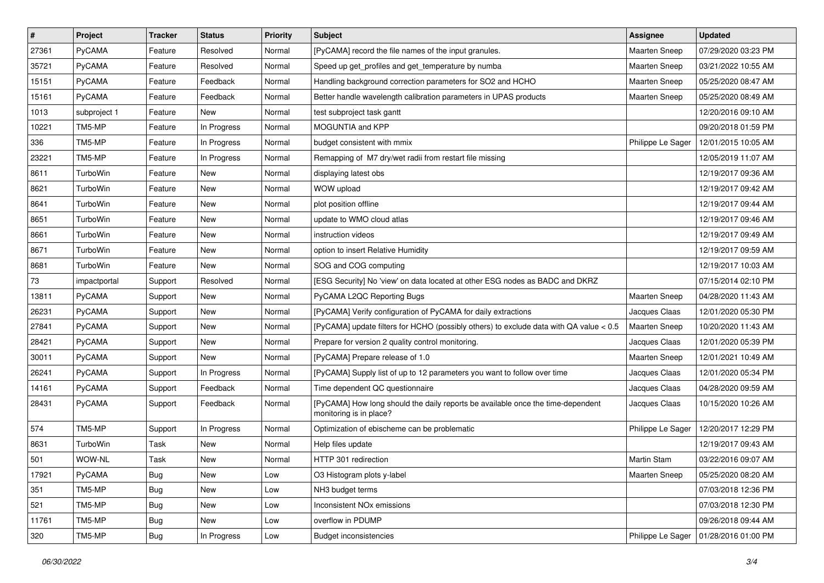| $\pmb{\#}$ | Project       | <b>Tracker</b> | <b>Status</b> | <b>Priority</b> | Subject                                                                                                    | <b>Assignee</b>      | <b>Updated</b>      |
|------------|---------------|----------------|---------------|-----------------|------------------------------------------------------------------------------------------------------------|----------------------|---------------------|
| 27361      | PyCAMA        | Feature        | Resolved      | Normal          | [PyCAMA] record the file names of the input granules.                                                      | Maarten Sneep        | 07/29/2020 03:23 PM |
| 35721      | PyCAMA        | Feature        | Resolved      | Normal          | Speed up get_profiles and get_temperature by numba                                                         | <b>Maarten Sneep</b> | 03/21/2022 10:55 AM |
| 15151      | PyCAMA        | Feature        | Feedback      | Normal          | Handling background correction parameters for SO2 and HCHO                                                 | <b>Maarten Sneep</b> | 05/25/2020 08:47 AM |
| 15161      | PyCAMA        | Feature        | Feedback      | Normal          | Better handle wavelength calibration parameters in UPAS products                                           | <b>Maarten Sneep</b> | 05/25/2020 08:49 AM |
| 1013       | subproject 1  | Feature        | New           | Normal          | test subproject task gantt                                                                                 |                      | 12/20/2016 09:10 AM |
| 10221      | TM5-MP        | Feature        | In Progress   | Normal          | MOGUNTIA and KPP                                                                                           |                      | 09/20/2018 01:59 PM |
| 336        | TM5-MP        | Feature        | In Progress   | Normal          | budget consistent with mmix                                                                                | Philippe Le Sager    | 12/01/2015 10:05 AM |
| 23221      | TM5-MP        | Feature        | In Progress   | Normal          | Remapping of M7 dry/wet radii from restart file missing                                                    |                      | 12/05/2019 11:07 AM |
| 8611       | TurboWin      | Feature        | New           | Normal          | displaying latest obs                                                                                      |                      | 12/19/2017 09:36 AM |
| 8621       | TurboWin      | Feature        | New           | Normal          | WOW upload                                                                                                 |                      | 12/19/2017 09:42 AM |
| 8641       | TurboWin      | Feature        | New           | Normal          | plot position offline                                                                                      |                      | 12/19/2017 09:44 AM |
| 8651       | TurboWin      | Feature        | New           | Normal          | update to WMO cloud atlas                                                                                  |                      | 12/19/2017 09:46 AM |
| 8661       | TurboWin      | Feature        | New           | Normal          | instruction videos                                                                                         |                      | 12/19/2017 09:49 AM |
| 8671       | TurboWin      | Feature        | New           | Normal          | option to insert Relative Humidity                                                                         |                      | 12/19/2017 09:59 AM |
| 8681       | TurboWin      | Feature        | <b>New</b>    | Normal          | SOG and COG computing                                                                                      |                      | 12/19/2017 10:03 AM |
| 73         | impactportal  | Support        | Resolved      | Normal          | [ESG Security] No 'view' on data located at other ESG nodes as BADC and DKRZ                               |                      | 07/15/2014 02:10 PM |
| 13811      | PyCAMA        | Support        | New           | Normal          | PyCAMA L2QC Reporting Bugs                                                                                 | Maarten Sneep        | 04/28/2020 11:43 AM |
| 26231      | PyCAMA        | Support        | <b>New</b>    | Normal          | [PyCAMA] Verify configuration of PyCAMA for daily extractions                                              | Jacques Claas        | 12/01/2020 05:30 PM |
| 27841      | PyCAMA        | Support        | New           | Normal          | [PyCAMA] update filters for HCHO (possibly others) to exclude data with QA value < 0.5                     | <b>Maarten Sneep</b> | 10/20/2020 11:43 AM |
| 28421      | PyCAMA        | Support        | <b>New</b>    | Normal          | Prepare for version 2 quality control monitoring.                                                          | Jacques Claas        | 12/01/2020 05:39 PM |
| 30011      | <b>PyCAMA</b> | Support        | New           | Normal          | [PyCAMA] Prepare release of 1.0                                                                            | <b>Maarten Sneep</b> | 12/01/2021 10:49 AM |
| 26241      | PyCAMA        | Support        | In Progress   | Normal          | [PyCAMA] Supply list of up to 12 parameters you want to follow over time                                   | Jacques Claas        | 12/01/2020 05:34 PM |
| 14161      | PyCAMA        | Support        | Feedback      | Normal          | Time dependent QC questionnaire                                                                            | Jacques Claas        | 04/28/2020 09:59 AM |
| 28431      | <b>PyCAMA</b> | Support        | Feedback      | Normal          | [PyCAMA] How long should the daily reports be available once the time-dependent<br>monitoring is in place? | Jacques Claas        | 10/15/2020 10:26 AM |
| 574        | TM5-MP        | Support        | In Progress   | Normal          | Optimization of ebischeme can be problematic                                                               | Philippe Le Sager    | 12/20/2017 12:29 PM |
| 8631       | TurboWin      | Task           | New           | Normal          | Help files update                                                                                          |                      | 12/19/2017 09:43 AM |
| 501        | WOW-NL        | Task           | New           | Normal          | HTTP 301 redirection                                                                                       | <b>Martin Stam</b>   | 03/22/2016 09:07 AM |
| 17921      | PyCAMA        | <b>Bug</b>     | New           | Low             | O3 Histogram plots y-label                                                                                 | Maarten Sneep        | 05/25/2020 08:20 AM |
| 351        | TM5-MP        | <b>Bug</b>     | New           | Low             | NH3 budget terms                                                                                           |                      | 07/03/2018 12:36 PM |
| 521        | TM5-MP        | <b>Bug</b>     | New           | Low             | Inconsistent NO <sub>x</sub> emissions                                                                     |                      | 07/03/2018 12:30 PM |
| 11761      | TM5-MP        | <b>Bug</b>     | New           | Low             | overflow in PDUMP                                                                                          |                      | 09/26/2018 09:44 AM |
| 320        | TM5-MP        | Bug            | In Progress   | Low             | <b>Budget inconsistencies</b>                                                                              | Philippe Le Sager    | 01/28/2016 01:00 PM |